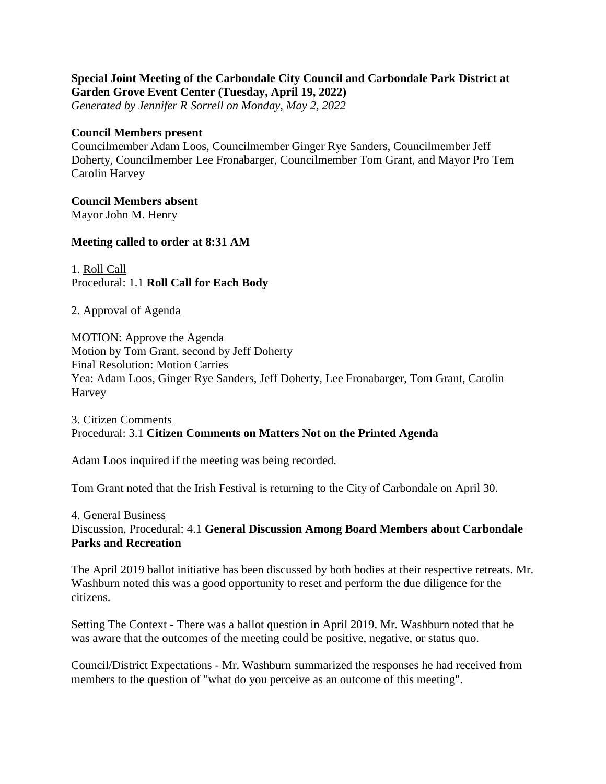# **Special Joint Meeting of the Carbondale City Council and Carbondale Park District at Garden Grove Event Center (Tuesday, April 19, 2022)**

*Generated by Jennifer R Sorrell on Monday, May 2, 2022*

#### **Council Members present**

Councilmember Adam Loos, Councilmember Ginger Rye Sanders, Councilmember Jeff Doherty, Councilmember Lee Fronabarger, Councilmember Tom Grant, and Mayor Pro Tem Carolin Harvey

#### **Council Members absent**

Mayor John M. Henry

## **Meeting called to order at 8:31 AM**

1. Roll Call Procedural: 1.1 **Roll Call for Each Body**

## 2. Approval of Agenda

MOTION: Approve the Agenda Motion by Tom Grant, second by Jeff Doherty Final Resolution: Motion Carries Yea: Adam Loos, Ginger Rye Sanders, Jeff Doherty, Lee Fronabarger, Tom Grant, Carolin Harvey

## 3. Citizen Comments Procedural: 3.1 **Citizen Comments on Matters Not on the Printed Agenda**

Adam Loos inquired if the meeting was being recorded.

Tom Grant noted that the Irish Festival is returning to the City of Carbondale on April 30.

4. General Business Discussion, Procedural: 4.1 **General Discussion Among Board Members about Carbondale Parks and Recreation**

The April 2019 ballot initiative has been discussed by both bodies at their respective retreats. Mr. Washburn noted this was a good opportunity to reset and perform the due diligence for the citizens.

Setting The Context - There was a ballot question in April 2019. Mr. Washburn noted that he was aware that the outcomes of the meeting could be positive, negative, or status quo.

Council/District Expectations - Mr. Washburn summarized the responses he had received from members to the question of "what do you perceive as an outcome of this meeting".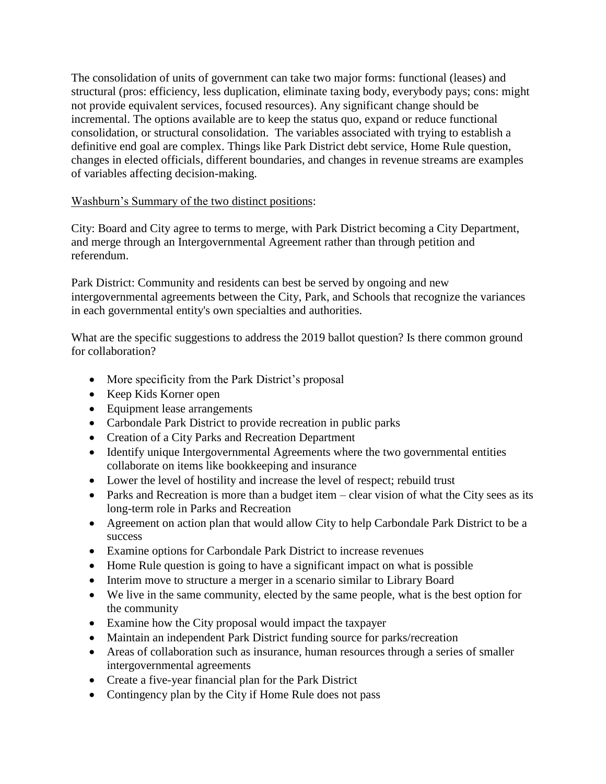The consolidation of units of government can take two major forms: functional (leases) and structural (pros: efficiency, less duplication, eliminate taxing body, everybody pays; cons: might not provide equivalent services, focused resources). Any significant change should be incremental. The options available are to keep the status quo, expand or reduce functional consolidation, or structural consolidation. The variables associated with trying to establish a definitive end goal are complex. Things like Park District debt service, Home Rule question, changes in elected officials, different boundaries, and changes in revenue streams are examples of variables affecting decision-making.

#### Washburn's Summary of the two distinct positions:

City: Board and City agree to terms to merge, with Park District becoming a City Department, and merge through an Intergovernmental Agreement rather than through petition and referendum.

Park District: Community and residents can best be served by ongoing and new intergovernmental agreements between the City, Park, and Schools that recognize the variances in each governmental entity's own specialties and authorities.

What are the specific suggestions to address the 2019 ballot question? Is there common ground for collaboration?

- More specificity from the Park District's proposal
- Keep Kids Korner open
- Equipment lease arrangements
- Carbondale Park District to provide recreation in public parks
- Creation of a City Parks and Recreation Department
- Identify unique Intergovernmental Agreements where the two governmental entities collaborate on items like bookkeeping and insurance
- Lower the level of hostility and increase the level of respect; rebuild trust
- Parks and Recreation is more than a budget item clear vision of what the City sees as its long-term role in Parks and Recreation
- Agreement on action plan that would allow City to help Carbondale Park District to be a success
- Examine options for Carbondale Park District to increase revenues
- Home Rule question is going to have a significant impact on what is possible
- Interim move to structure a merger in a scenario similar to Library Board
- We live in the same community, elected by the same people, what is the best option for the community
- Examine how the City proposal would impact the taxpayer
- Maintain an independent Park District funding source for parks/recreation
- Areas of collaboration such as insurance, human resources through a series of smaller intergovernmental agreements
- Create a five-year financial plan for the Park District
- Contingency plan by the City if Home Rule does not pass